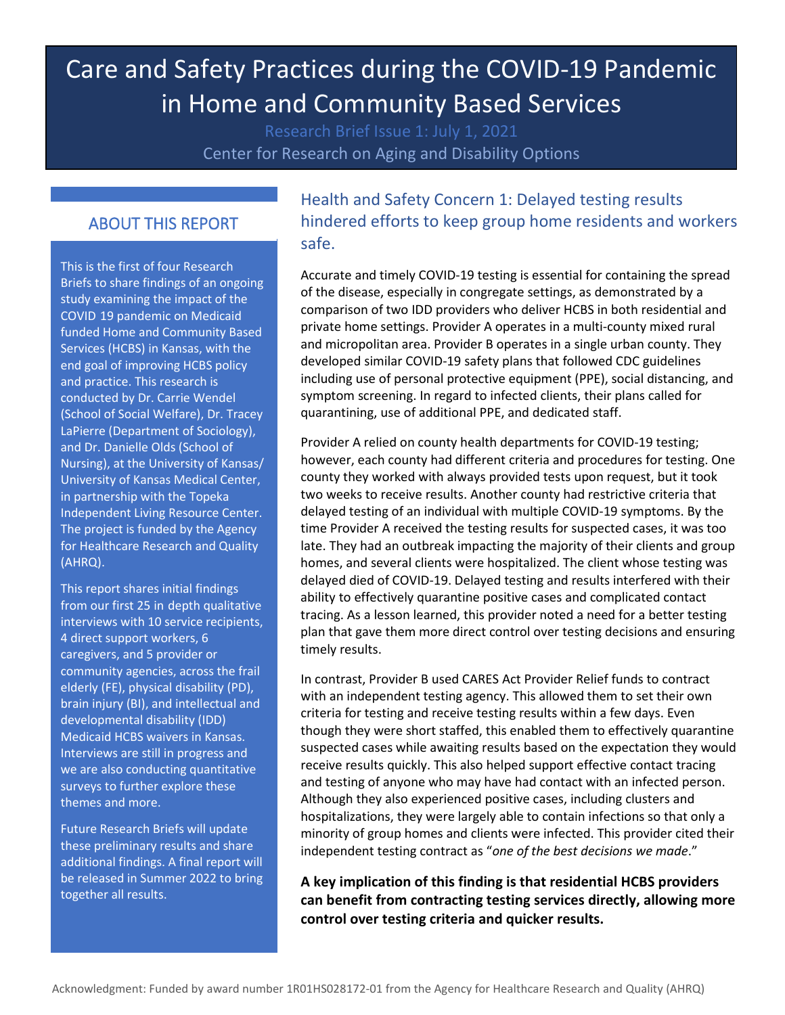# Care and Safety Practices during the COVID-19 Pandemic in Home and Community Based Services

Center for Research on Aging and Disability Options

#### ABOUT THIS REPORT

 Briefs to share findings of an ongoing study examining the impact of the COVID 19 pandemic on Medicaid<br>funded Home and Community Based Services (HCBS) in Kansas, with the and practice. This research is Nursing), at the University of Kansas/ The project is funded by the Agency (AHRQ). COVID 19 pandemic on Medicaid This is the first of four Research end goal of improving HCBS policy conducted by Dr. Carrie Wendel (School of Social Welfare), Dr. Tracey LaPierre (Department of Sociology), and Dr. Danielle Olds (School of University of Kansas Medical Center, in partnership with the Topeka Independent Living Resource Center. for Healthcare Research and Quality

 developmental disability (IDD) surveys to further explore these from our first 25 in depth qualitative This report shares initial findings interviews with 10 service recipients, 4 direct support workers, 6 caregivers, and 5 provider or community agencies, across the frail elderly (FE), physical disability (PD), brain injury (BI), and intellectual and Medicaid HCBS waivers in Kansas. Interviews are still in progress and we are also conducting quantitative themes and more.

 Future Research Briefs will update together all results. these preliminary results and share additional findings. A final report will be released in Summer 2022 to bring

# Health and Safety Concern 1: Delayed testing results hindered efforts to keep group home residents and workers safe.

 Accurate and timely COVID-19 testing is essential for containing the spread comparison of two IDD providers who deliver HCBS in both residential and and micropolitan area. Provider B operates in a single urban county. They quarantining, use of additional PPE, and dedicated staff. of the disease, especially in congregate settings, as demonstrated by a private home settings. Provider A operates in a multi-county mixed rural developed similar COVID-19 safety plans that followed CDC guidelines including use of personal protective equipment (PPE), social distancing, and symptom screening. In regard to infected clients, their plans called for

 delayed died of COVID-19. Delayed testing and results interfered with their plan that gave them more direct control over testing decisions and ensuring timely results. Provider A relied on county health departments for COVID-19 testing; however, each county had different criteria and procedures for testing. One county they worked with always provided tests upon request, but it took two weeks to receive results. Another county had restrictive criteria that delayed testing of an individual with multiple COVID-19 symptoms. By the time Provider A received the testing results for suspected cases, it was too late. They had an outbreak impacting the majority of their clients and group homes, and several clients were hospitalized. The client whose testing was ability to effectively quarantine positive cases and complicated contact tracing. As a lesson learned, this provider noted a need for a better testing

timely results.<br>In contrast, Provider B used CARES Act Provider Relief funds to contract with an independent testing agency. This allowed them to set their own suspected cases while awaiting results based on the expectation they would hospitalizations, they were largely able to contain infections so that only a minority of group homes and clients were infected. This provider cited their independent testing contract as "*one of the best decisions we made*." criteria for testing and receive testing results within a few days. Even though they were short staffed, this enabled them to effectively quarantine receive results quickly. This also helped support effective contact tracing and testing of anyone who may have had contact with an infected person. Although they also experienced positive cases, including clusters and

 **control over testing criteria and quicker results. A key implication of this finding is that residential HCBS providers can benefit from contracting testing services directly, allowing more**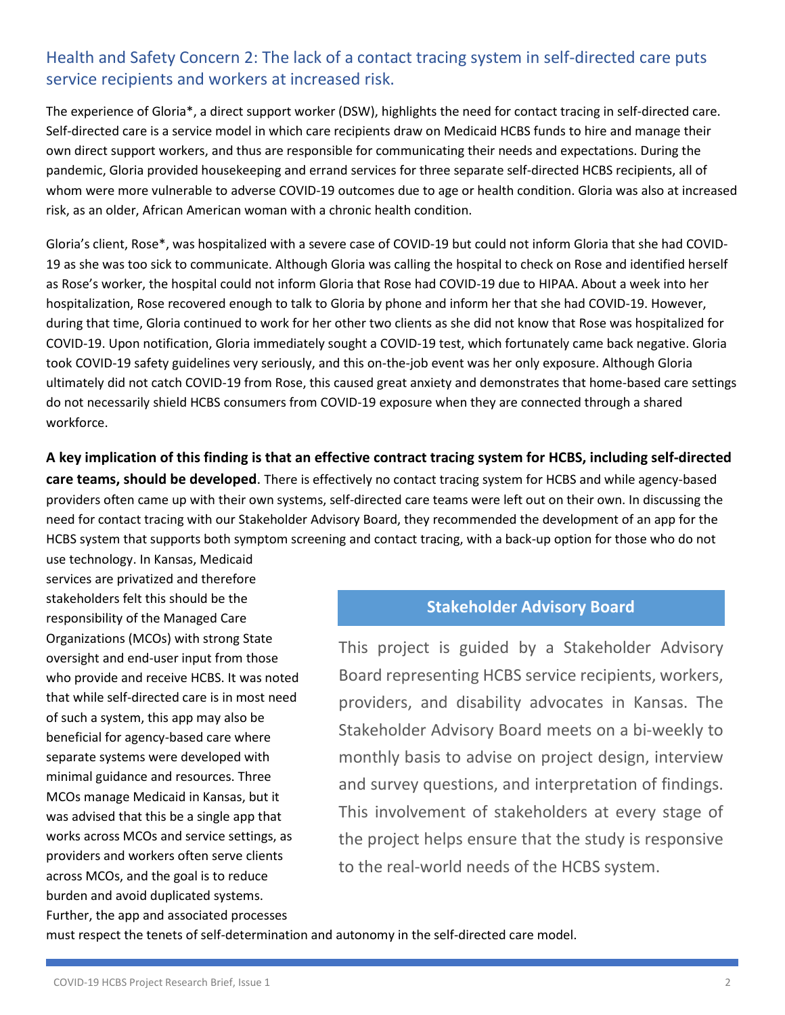## Health and Safety Concern 2: The lack of a contact tracing system in self-directed care puts service recipients and workers at increased risk.

 The experience of Gloria\*, a direct support worker (DSW), highlights the need for contact tracing in self-directed care. Self-directed care is a service model in which care recipients draw on Medicaid HCBS funds to hire and manage their own direct support workers, and thus are responsible for communicating their needs and expectations. During the whom were more vulnerable to adverse COVID-19 outcomes due to age or health condition. Gloria was also at increased pandemic, Gloria provided housekeeping and errand services for three separate self-directed HCBS recipients, all of risk, as an older, African American woman with a chronic health condition.

 Gloria's client, Rose\*, was hospitalized with a severe case of COVID-19 but could not inform Gloria that she had COVID- 19 as she was too sick to communicate. Although Gloria was calling the hospital to check on Rose and identified herself during that time, Gloria continued to work for her other two clients as she did not know that Rose was hospitalized for COVID-19. Upon notification, Gloria immediately sought a COVID-19 test, which fortunately came back negative. Gloria ultimately did not catch COVID-19 from Rose, this caused great anxiety and demonstrates that home-based care settings workforce. as Rose's worker, the hospital could not inform Gloria that Rose had COVID-19 due to HIPAA. About a week into her hospitalization, Rose recovered enough to talk to Gloria by phone and inform her that she had COVID-19. However, took COVID-19 safety guidelines very seriously, and this on-the-job event was her only exposure. Although Gloria do not necessarily shield HCBS consumers from COVID-19 exposure when they are connected through a shared

 providers often came up with their own systems, self-directed care teams were left out on their own. In discussing the **A key implication of this finding is that an effective contract tracing system for HCBS, including self-directed care teams, should be developed**. There is effectively no contact tracing system for HCBS and while agency-based need for contact tracing with our Stakeholder Advisory Board, they recommended the development of an app for the HCBS system that supports both symptom screening and contact tracing, with a back-up option for those who do not

 use technology. In Kansas, Medicaid services are privatized and therefore Organizations (MCOs) with strong State that while self-directed care is in most need of such a system, this app may also be beneficial for agency-based care where stakeholders felt this should be the responsibility of the Managed Care oversight and end-user input from those who provide and receive HCBS. It was noted separate systems were developed with minimal guidance and resources. Three MCOs manage Medicaid in Kansas, but it was advised that this be a single app that works across MCOs and service settings, as providers and workers often serve clients across MCOs, and the goal is to reduce burden and avoid duplicated systems. Further, the app and associated processes

### **Stakeholder Advisory Board**

 providers, and disability advocates in Kansas. The This involvement of stakeholders at every stage of This project is guided by a Stakeholder Advisory Board representing HCBS service recipients, workers, Stakeholder Advisory Board meets on a bi-weekly to monthly basis to advise on project design, interview and survey questions, and interpretation of findings. the project helps ensure that the study is responsive to the real-world needs of the HCBS system.

must respect the tenets of self-determination and autonomy in the self-directed care model.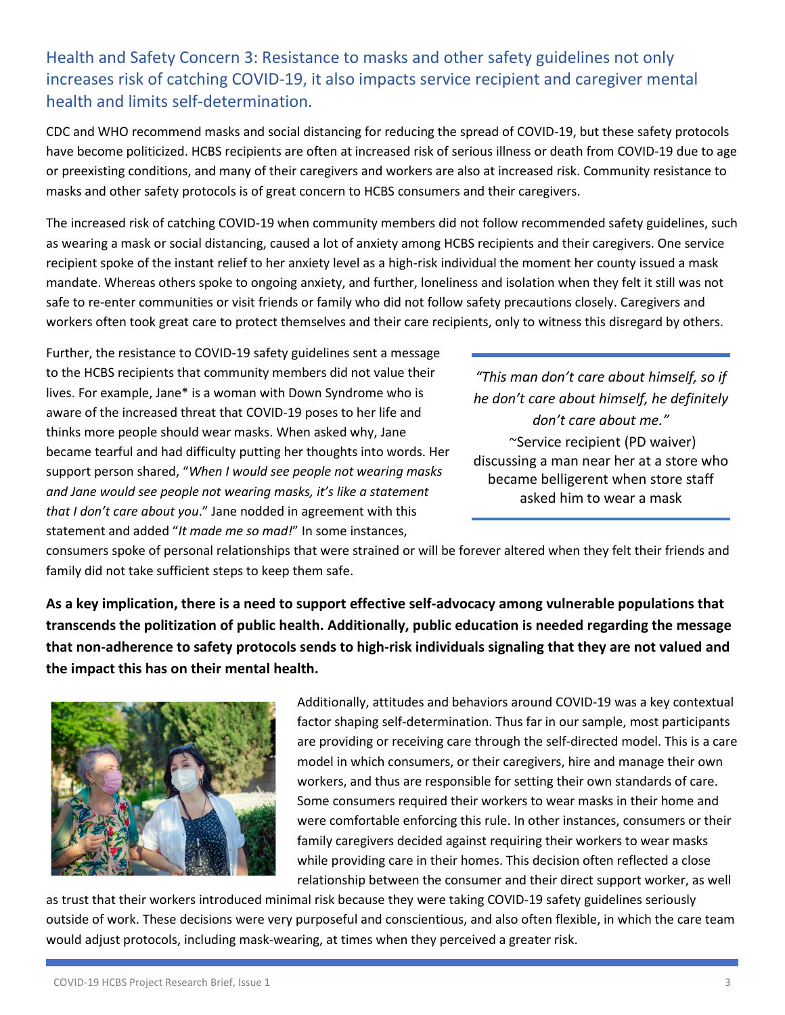# increases risk of catching COVID-19, it also impacts service recipient and caregiver mental Health and Safety Concern 3: Resistance to masks and other safety guidelines not only health and limits self-determination.

 CDC and WHO recommend masks and social distancing for reducing the spread of COVID-19, but these safety protocols or preexisting conditions, and many of their caregivers and workers are also at increased risk. Community resistance to masks and other safety protocols is of great concern to HCBS consumers and their caregivers. have become politicized. HCBS recipients are often at increased risk of serious illness or death from COVID-19 due to age

 as wearing a mask or social distancing, caused a lot of anxiety among HCBS recipients and their caregivers. One service mandate. Whereas others spoke to ongoing anxiety, and further, loneliness and isolation when they felt it still was not safe to re-enter communities or visit friends or family who did not follow safety precautions closely. Caregivers and workers often took great care to protect themselves and their care recipients, only to witness this disregard by others.<br>Further, the resistance to COVID-19 safety guidelines sent a message The increased risk of catching COVID-19 when community members did not follow recommended safety guidelines, such recipient spoke of the instant relief to her anxiety level as a high-risk individual the moment her county issued a mask

 lives. For example, Jane\* is a woman with Down Syndrome who is *he don't care about himself, he definitely*  aware of the increased threat that COVID-19 poses to her life and *don't care about me."* thinks more people should wear masks. When asked why, Jane *that I don't care about you*." Jane nodded in agreement with this  statement and added "*It made me so mad!*" In some instances, to the HCBS recipients that community members did not value their *"This man don't care about himself, so if*  became tearful and had difficulty putting her thoughts into words. Her<br>support person shared, "When I would see people not wearing masks<br>and Jane would see people not wearing masks, it's like a statement<br>asked him to wear

discussing a man near her at a store who

 family did not take sufficient steps to keep them safe. consumers spoke of personal relationships that were strained or will be forever altered when they felt their friends and

**As a key implication, there is a need to support effective self-advocacy among vulnerable populations that transcends the politization of public health. Additionally, public education is needed regarding the message that non-adherence to safety protocols sends to high-risk individuals signaling that they are not valued and the impact this has on their mental health.** 



 model in which consumers, or their caregivers, hire and manage their own Some consumers required their workers to wear masks in their home and Additionally, attitudes and behaviors around COVID-19 was a key contextual factor shaping self-determination. Thus far in our sample, most participants are providing or receiving care through the self-directed model. This is a care workers, and thus are responsible for setting their own standards of care. were comfortable enforcing this rule. In other instances, consumers or their family caregivers decided against requiring their workers to wear masks while providing care in their homes. This decision often reflected a close relationship between the consumer and their direct support worker, as well

 would adjust protocols, including mask-wearing, at times when they perceived a greater risk. COVID-19 HCBS Project Research Brief, Issue 1 3 as trust that their workers introduced minimal risk because they were taking COVID-19 safety guidelines seriously outside of work. These decisions were very purposeful and conscientious, and also often flexible, in which the care team